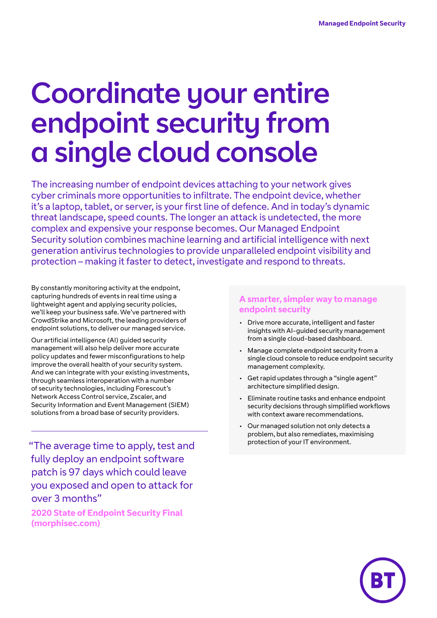# Coordinate your entire endpoint security from a single cloud console

The increasing number of endpoint devices attaching to your network gives cyber criminals more opportunities to infiltrate. The endpoint device, whether it's a laptop, tablet, or server, is your first line of defence. And in today's dynamic threat landscape, speed counts. The longer an attack is undetected, the more complex and expensive your response becomes. Our Managed Endpoint Security solution combines machine learning and artificial intelligence with next generation antivirus technologies to provide unparalleled endpoint visibility and protection – making it faster to detect, investigate and respond to threats.

By constantly monitoring activity at the endpoint, capturing hundreds of events in real time using a lightweight agent and applying security policies, we'll keep your business safe. We've partnered with CrowdStrike and Microsoft, the leading providers of endpoint solutions, to deliver our managed service.

Our artificial intelligence (AI) guided security management will also help deliver more accurate policy updates and fewer misconfigurations to help improve the overall health of your security system. And we can integrate with your existing investments, through seamless interoperation with a number of security technologies, including Forescout's Network Access Control service, Zscaler, and Security Information and Event Management (SIEM) solutions from a broad base of security providers.

protection of your IT environment. "The average time to apply, test and fully deploy an endpoint software patch is 97 days which could leave you exposed and open to attack for over 3 months"

**2020 State of Endpoint Security Final (morphisec.com)**

#### **A smarter, simpler way to manage endpoint security**

- Drive more accurate, intelligent and faster insights with AI-guided security management from a single cloud-based dashboard.
- Manage complete endpoint security from a single cloud console to reduce endpoint security management complexity.
- Get rapid updates through a "single agent" architecture simplified design.
- Eliminate routine tasks and enhance endpoint security decisions through simplified workflows with context aware recommendations.
- Our managed solution not only detects a problem, but also remediates, maximising